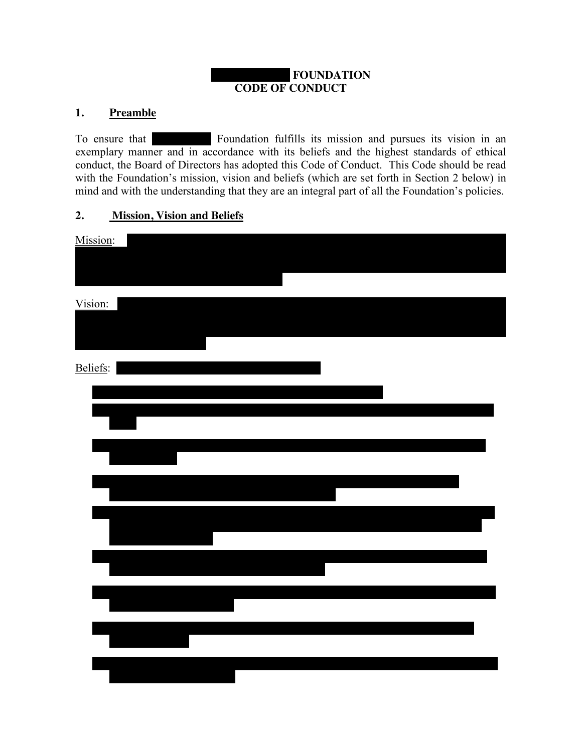#### **FOUNDATION CODE OF CONDUCT**

#### **1. Preamble**

To ensure that The Brings Foundation fulfills its mission and pursues its vision in an exemplary manner and in accordance with its beliefs and the highest standards of ethical conduct, the Board of Directors has adopted this Code of Conduct. This Code should be read with the Foundation's mission, vision and beliefs (which are set forth in Section 2 below) in mind and with the understanding that they are an integral part of all the Foundation's policies.

#### **2. Mission, Vision and Beliefs**

| Mission: |  |  |
|----------|--|--|
|          |  |  |
| Vision:  |  |  |
|          |  |  |
|          |  |  |
| Beliefs: |  |  |
|          |  |  |
|          |  |  |
|          |  |  |
|          |  |  |
|          |  |  |
|          |  |  |
|          |  |  |
|          |  |  |
|          |  |  |
|          |  |  |
|          |  |  |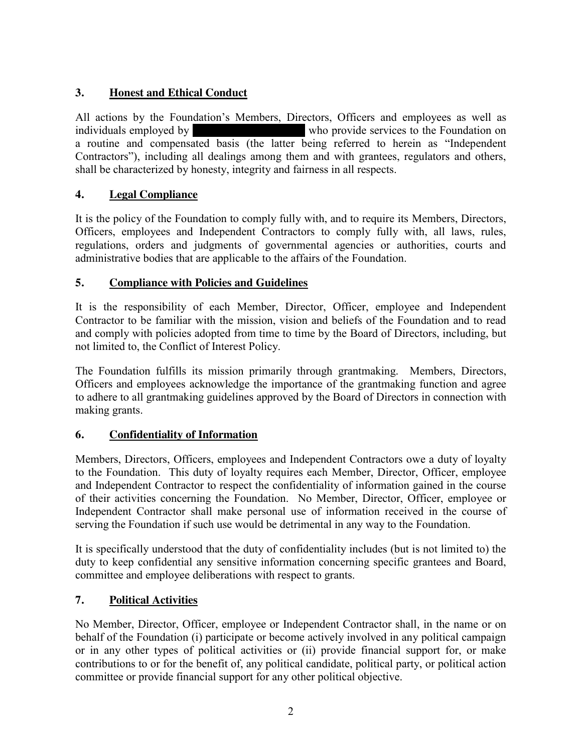# **3. Honest and Ethical Conduct**

All actions by the Foundation's Members, Directors, Officers and employees as well as individuals employed by GP Brinson Individuals employed by  $\mu$  who provide services to the Foundation on a routine and compensated basis (the latter being referred to herein as "Independent Contractors"), including all dealings among them and with grantees, regulators and others, shall be characterized by honesty, integrity and fairness in all respects.

# **4. Legal Compliance**

It is the policy of the Foundation to comply fully with, and to require its Members, Directors, Officers, employees and Independent Contractors to comply fully with, all laws, rules, regulations, orders and judgments of governmental agencies or authorities, courts and administrative bodies that are applicable to the affairs of the Foundation.

## **5. Compliance with Policies and Guidelines**

It is the responsibility of each Member, Director, Officer, employee and Independent Contractor to be familiar with the mission, vision and beliefs of the Foundation and to read and comply with policies adopted from time to time by the Board of Directors, including, but not limited to, the Conflict of Interest Policy.

The Foundation fulfills its mission primarily through grantmaking. Members, Directors, Officers and employees acknowledge the importance of the grantmaking function and agree to adhere to all grantmaking guidelines approved by the Board of Directors in connection with making grants.

## **6. Confidentiality of Information**

Members, Directors, Officers, employees and Independent Contractors owe a duty of loyalty to the Foundation. This duty of loyalty requires each Member, Director, Officer, employee and Independent Contractor to respect the confidentiality of information gained in the course of their activities concerning the Foundation. No Member, Director, Officer, employee or Independent Contractor shall make personal use of information received in the course of serving the Foundation if such use would be detrimental in any way to the Foundation.

It is specifically understood that the duty of confidentiality includes (but is not limited to) the duty to keep confidential any sensitive information concerning specific grantees and Board, committee and employee deliberations with respect to grants.

## **7. Political Activities**

No Member, Director, Officer, employee or Independent Contractor shall, in the name or on behalf of the Foundation (i) participate or become actively involved in any political campaign or in any other types of political activities or (ii) provide financial support for, or make contributions to or for the benefit of, any political candidate, political party, or political action committee or provide financial support for any other political objective.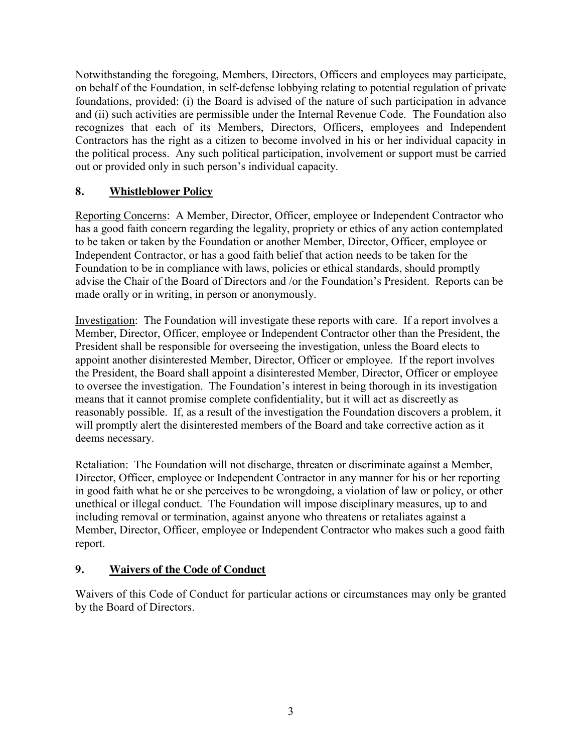Notwithstanding the foregoing, Members, Directors, Officers and employees may participate, on behalf of the Foundation, in self-defense lobbying relating to potential regulation of private foundations, provided: (i) the Board is advised of the nature of such participation in advance and (ii) such activities are permissible under the Internal Revenue Code. The Foundation also recognizes that each of its Members, Directors, Officers, employees and Independent Contractors has the right as a citizen to become involved in his or her individual capacity in the political process. Any such political participation, involvement or support must be carried out or provided only in such person's individual capacity.

## **8. Whistleblower Policy**

Reporting Concerns: A Member, Director, Officer, employee or Independent Contractor who has a good faith concern regarding the legality, propriety or ethics of any action contemplated to be taken or taken by the Foundation or another Member, Director, Officer, employee or Independent Contractor, or has a good faith belief that action needs to be taken for the Foundation to be in compliance with laws, policies or ethical standards, should promptly advise the Chair of the Board of Directors and /or the Foundation's President. Reports can be made orally or in writing, in person or anonymously.

Investigation: The Foundation will investigate these reports with care. If a report involves a Member, Director, Officer, employee or Independent Contractor other than the President, the President shall be responsible for overseeing the investigation, unless the Board elects to appoint another disinterested Member, Director, Officer or employee. If the report involves the President, the Board shall appoint a disinterested Member, Director, Officer or employee to oversee the investigation. The Foundation's interest in being thorough in its investigation means that it cannot promise complete confidentiality, but it will act as discreetly as reasonably possible. If, as a result of the investigation the Foundation discovers a problem, it will promptly alert the disinterested members of the Board and take corrective action as it deems necessary.

Retaliation: The Foundation will not discharge, threaten or discriminate against a Member, Director, Officer, employee or Independent Contractor in any manner for his or her reporting in good faith what he or she perceives to be wrongdoing, a violation of law or policy, or other unethical or illegal conduct. The Foundation will impose disciplinary measures, up to and including removal or termination, against anyone who threatens or retaliates against a Member, Director, Officer, employee or Independent Contractor who makes such a good faith report.

#### **9. Waivers of the Code of Conduct**

Waivers of this Code of Conduct for particular actions or circumstances may only be granted by the Board of Directors.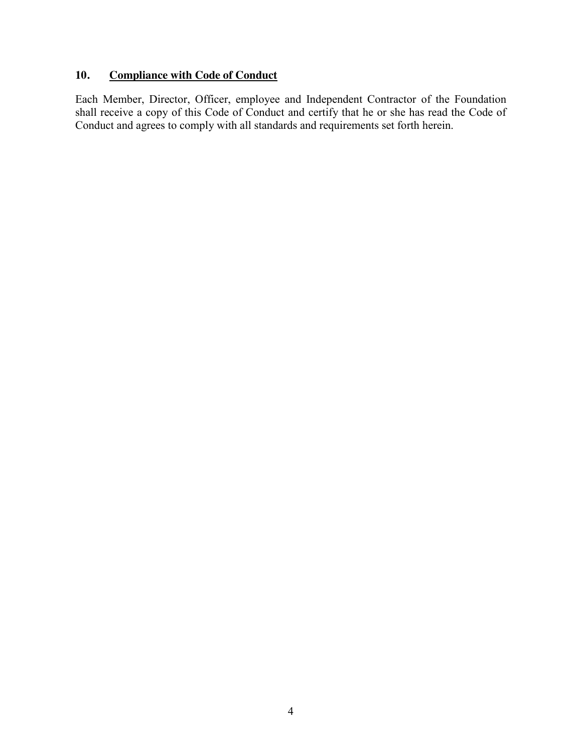#### **10. Compliance with Code of Conduct**

Each Member, Director, Officer, employee and Independent Contractor of the Foundation shall receive a copy of this Code of Conduct and certify that he or she has read the Code of Conduct and agrees to comply with all standards and requirements set forth herein.